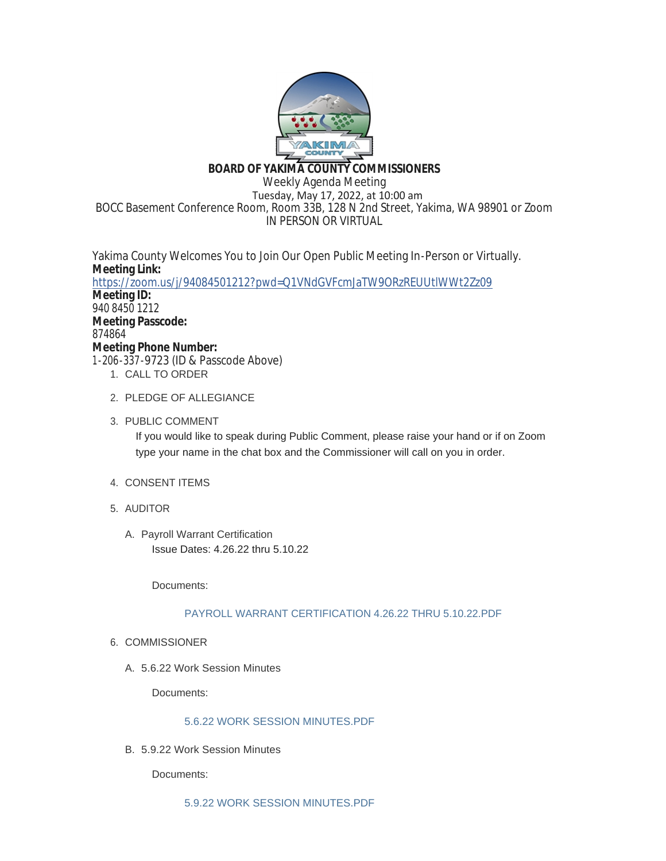

# **BOARD OF YAKIMA COUNTY COMMISSIONERS**

Weekly Agenda Meeting Tuesday, May 17, 2022, at 10:00 am BOCC Basement Conference Room, Room 33B, 128 N 2nd Street, Yakima, WA 98901 or Zoom IN PERSON OR VIRTUAL

Yakima County Welcomes You to Join Our Open Public Meeting In-Person or Virtually. **Meeting Link:** <https://zoom.us/j/94084501212?pwd=Q1VNdGVFcmJaTW9ORzREUUtlWWt2Zz09> **Meeting ID:** 940 8450 1212 **Meeting Passcode:** 874864 **Meeting Phone Number:** 1-206-337-9723 (ID & Passcode Above) 1. CALL TO ORDER

- 2. PLEDGE OF ALLEGIANCE
- 3. PUBLIC COMMENT

If you would like to speak during Public Comment, please raise your hand or if on Zoom type your name in the chat box and the Commissioner will call on you in order.

- 4. CONSENT ITEMS
- AUDITOR 5.
	- A. Payroll Warrant Certification Issue Dates: 4.26.22 thru 5.10.22

Documents:

# [PAYROLL WARRANT CERTIFICATION 4.26.22 THRU 5.10.22.PDF](https://www.yakimacounty.us/AgendaCenter/ViewFile/Item/4439?fileID=16169)

- 6. COMMISSIONER
	- 5.6.22 Work Session Minutes A.

Documents:

# [5.6.22 WORK SESSION MINUTES.PDF](https://www.yakimacounty.us/AgendaCenter/ViewFile/Item/4444?fileID=16202)

5.9.22 Work Session Minutes B.

Documents: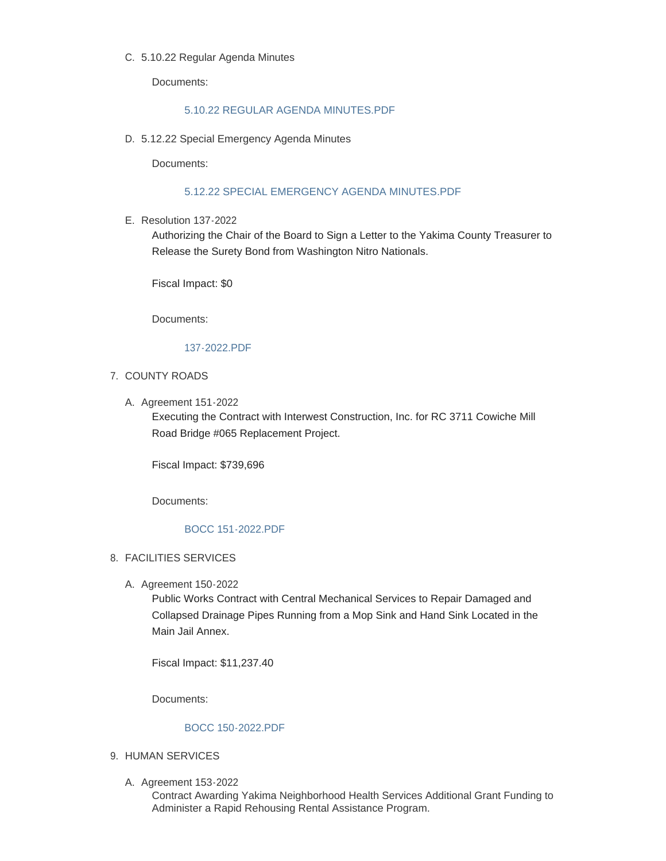#### 5.10.22 Regular Agenda Minutes C.

Documents:

### [5.10.22 REGULAR AGENDA MINUTES.PDF](https://www.yakimacounty.us/AgendaCenter/ViewFile/Item/4442?fileID=16204)

5.12.22 Special Emergency Agenda Minutes D.

Documents:

### [5.12.22 SPECIAL EMERGENCY AGENDA MINUTES.PDF](https://www.yakimacounty.us/AgendaCenter/ViewFile/Item/4450?fileID=16191)

E. Resolution 137-2022

Authorizing the Chair of the Board to Sign a Letter to the Yakima County Treasurer to Release the Surety Bond from Washington Nitro Nationals.

Fiscal Impact: \$0

Documents:

#### [137-2022.PDF](https://www.yakimacounty.us/AgendaCenter/ViewFile/Item/4441?fileID=16171)

#### 7. COUNTY ROADS

A. Agreement 151-2022

Executing the Contract with Interwest Construction, Inc. for RC 3711 Cowiche Mill Road Bridge #065 Replacement Project.

Fiscal Impact: \$739,696

Documents:

### [BOCC 151-2022.PDF](https://www.yakimacounty.us/AgendaCenter/ViewFile/Item/4451?fileID=16192)

## FACILITIES SERVICES 8.

A. Agreement 150-2022

Public Works Contract with Central Mechanical Services to Repair Damaged and Collapsed Drainage Pipes Running from a Mop Sink and Hand Sink Located in the Main Jail Annex.

Fiscal Impact: \$11,237.40

Documents:

### [BOCC 150-2022.PDF](https://www.yakimacounty.us/AgendaCenter/ViewFile/Item/4440?fileID=16170)

- 9. HUMAN SERVICES
	- A. Agreement 153-2022

Contract Awarding Yakima Neighborhood Health Services Additional Grant Funding to Administer a Rapid Rehousing Rental Assistance Program.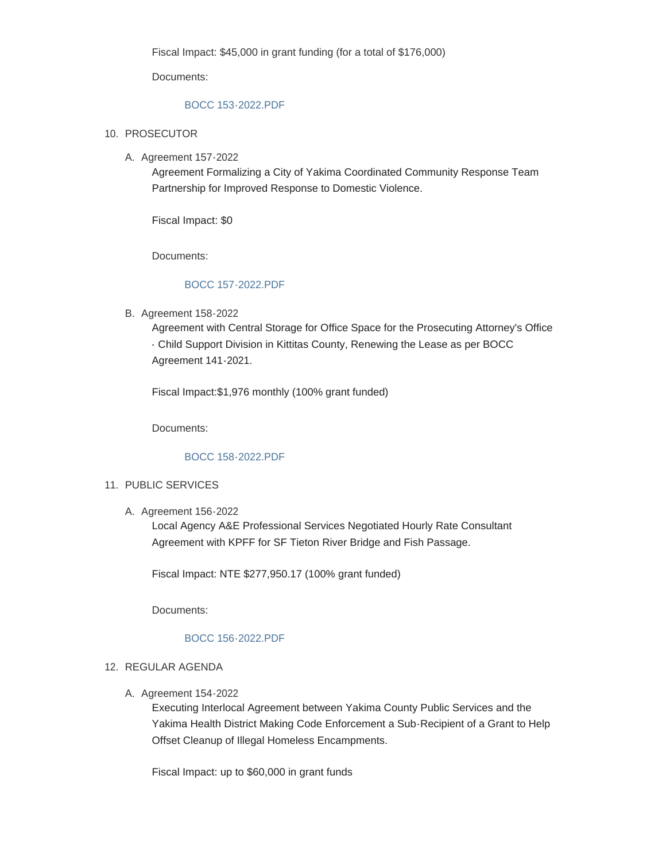Fiscal Impact: \$45,000 in grant funding (for a total of \$176,000)

Documents:

### [BOCC 153-2022.PDF](https://www.yakimacounty.us/AgendaCenter/ViewFile/Item/4453?fileID=16199)

- 10. PROSECUTOR
	- A. Agreement 157-2022

Agreement Formalizing a City of Yakima Coordinated Community Response Team Partnership for Improved Response to Domestic Violence.

Fiscal Impact: \$0

Documents:

## [BOCC 157-2022.PDF](https://www.yakimacounty.us/AgendaCenter/ViewFile/Item/4457?fileID=16196)

B. Agreement 158-2022

Agreement with Central Storage for Office Space for the Prosecuting Attorney's Office - Child Support Division in Kittitas County, Renewing the Lease as per BOCC Agreement 141-2021.

Fiscal Impact:\$1,976 monthly (100% grant funded)

Documents:

# [BOCC 158-2022.PDF](https://www.yakimacounty.us/AgendaCenter/ViewFile/Item/4458?fileID=16198)

### 11. PUBLIC SERVICES

A. Agreement 156-2022

Local Agency A&E Professional Services Negotiated Hourly Rate Consultant Agreement with KPFF for SF Tieton River Bridge and Fish Passage.

Fiscal Impact: NTE \$277,950.17 (100% grant funded)

Documents:

### [BOCC 156-2022.PDF](https://www.yakimacounty.us/AgendaCenter/ViewFile/Item/4456?fileID=16197)

### 12. REGULAR AGENDA

A. Agreement 154-2022

Executing Interlocal Agreement between Yakima County Public Services and the Yakima Health District Making Code Enforcement a Sub-Recipient of a Grant to Help Offset Cleanup of Illegal Homeless Encampments.

Fiscal Impact: up to \$60,000 in grant funds